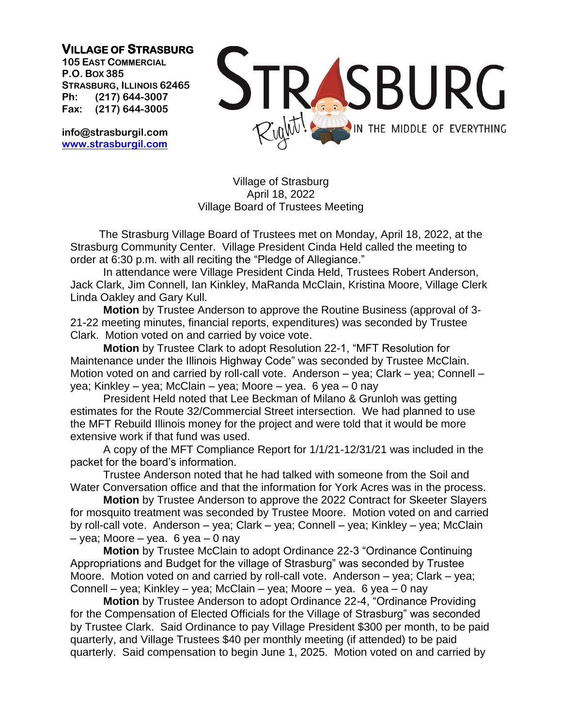**VILLAGE OF STRASBURG** 

**105 EAST COMMERCIAL P.O. BOX 385 STRASBURG, ILLINOIS 62465 Ph: (217) 644-3007 Fax: (217) 644-3005**

**info@strasburgil.com [www.strasburgil.com](about:blank)**



Village of Strasburg April 18, 2022 Village Board of Trustees Meeting

The Strasburg Village Board of Trustees met on Monday, April 18, 2022, at the Strasburg Community Center. Village President Cinda Held called the meeting to order at 6:30 p.m. with all reciting the "Pledge of Allegiance."

In attendance were Village President Cinda Held, Trustees Robert Anderson, Jack Clark, Jim Connell, Ian Kinkley, MaRanda McClain, Kristina Moore, Village Clerk Linda Oakley and Gary Kull.

**Motion** by Trustee Anderson to approve the Routine Business (approval of 3- 21-22 meeting minutes, financial reports, expenditures) was seconded by Trustee Clark. Motion voted on and carried by voice vote.

**Motion** by Trustee Clark to adopt Resolution 22-1, "MFT Resolution for Maintenance under the Illinois Highway Code" was seconded by Trustee McClain. Motion voted on and carried by roll-call vote. Anderson – yea; Clark – yea; Connell – yea; Kinkley – yea; McClain – yea; Moore – yea. 6 yea – 0 nay

President Held noted that Lee Beckman of Milano & Grunloh was getting estimates for the Route 32/Commercial Street intersection. We had planned to use the MFT Rebuild Illinois money for the project and were told that it would be more extensive work if that fund was used.

A copy of the MFT Compliance Report for 1/1/21-12/31/21 was included in the packet for the board's information.

Trustee Anderson noted that he had talked with someone from the Soil and Water Conversation office and that the information for York Acres was in the process.

**Motion** by Trustee Anderson to approve the 2022 Contract for Skeeter Slayers for mosquito treatment was seconded by Trustee Moore. Motion voted on and carried by roll-call vote. Anderson – yea; Clark – yea; Connell – yea; Kinkley – yea; McClain  $-$  yea; Moore  $-$  yea. 6 yea  $-$  0 nay

**Motion** by Trustee McClain to adopt Ordinance 22-3 "Ordinance Continuing Appropriations and Budget for the village of Strasburg" was seconded by Trustee Moore. Motion voted on and carried by roll-call vote. Anderson – yea; Clark – yea; Connell – yea; Kinkley – yea; McClain – yea; Moore – yea. 6 yea – 0 nay

**Motion** by Trustee Anderson to adopt Ordinance 22-4, "Ordinance Providing for the Compensation of Elected Officials for the Village of Strasburg" was seconded by Trustee Clark. Said Ordinance to pay Village President \$300 per month, to be paid quarterly, and Village Trustees \$40 per monthly meeting (if attended) to be paid quarterly. Said compensation to begin June 1, 2025. Motion voted on and carried by